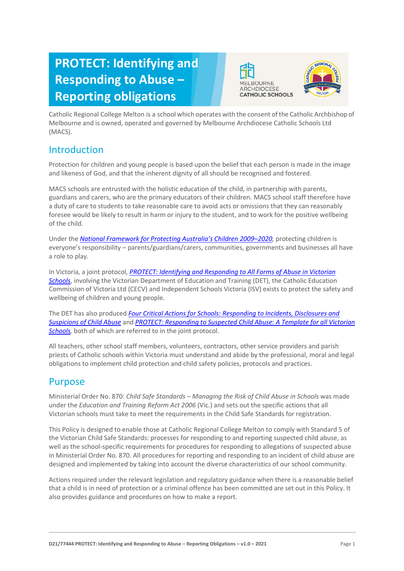# **PROTECT: Identifying and Responding to Abuse – Reporting obligations**





Catholic Regional College Melton is a school which operates with the consent of the Catholic Archbishop of Melbourne and is owned, operated and governed by Melbourne Archdiocese Catholic Schools Ltd (MACS).

# Introduction

Protection for children and young people is based upon the belief that each person is made in the image and likeness of God, and that the inherent dignity of all should be recognised and fostered.

MACS schools are entrusted with the holistic education of the child, in partnership with parents, guardians and carers, who are the primary educators of their children. MACS school staff therefore have a duty of care to students to take reasonable care to avoid acts or omissions that they can reasonably foresee would be likely to result in harm or injury to the student, and to work for the positive wellbeing of the child.

Under the *[National Framework for Protecting Australia's Children 2009–](https://www.dss.gov.au/our-responsibilities/families-and-children/publications-articles/protecting-children-is-everyones-business)202[0,](https://www.dss.gov.au/our-responsibilities/families-and-children/publications-articles/protecting-children-is-everyones-business)* protecting children is everyone's responsibility – parents/guardians/carers, communities, governments and businesses all have a role to play.

In Victoria, a joint protocol*, [PROTECT: Identifying and Responding to All Forms of Abuse in Victorian](http://www.education.vic.gov.au/Documents/about/programs/health/protect/ChildSafeStandard5_SchoolsGuide.pdf)  [Schools](http://www.education.vic.gov.au/Documents/about/programs/health/protect/ChildSafeStandard5_SchoolsGuide.pdf)*[, i](http://www.education.vic.gov.au/Documents/about/programs/health/protect/ChildSafeStandard5_SchoolsGuide.pdf)nvolving the Victorian Department of Education and Training (DET), the Catholic Education Commission of Victoria Ltd (CECV) and Independent Schools Victoria (ISV) exists to protect the safety and wellbeing of children and young people.

The DET has also produced *[Four Critical Actions for Schools: Responding to Incidents, Disclosures and](http://www.education.vic.gov.au/Documents/about/programs/health/protect/FourCriticalActions_ChildAbuse.pdf)  [Suspicions of Child Abuse](http://www.education.vic.gov.au/Documents/about/programs/health/protect/FourCriticalActions_ChildAbuse.pdf)* and *[PROTECT: Responding to Suspected Child Abuse: A Template for all Victorian](http://www.education.vic.gov.au/Documents/about/programs/health/protect/PROTECT_Responding_TemplateSchools.pdf)  [Schools,](http://www.education.vic.gov.au/Documents/about/programs/health/protect/PROTECT_Responding_TemplateSchools.pdf)* both of which are referred to in the joint protocol.

All teachers, other school staff members, volunteers, contractors, other service providers and parish priests of Catholic schools within Victoria must understand and abide by the professional, moral and legal obligations to implement child protection and child safety policies, protocols and practices.

# Purpose

Ministerial Order No. 870: *Child Safe Standards – Managing the Risk of Child Abuse in Schools* was made under the *Education and Training Reform Act 2006* (Vic.) and sets out the specific actions that all Victorian schools must take to meet the requirements in the Child Safe Standards for registration.

This Policy is designed to enable those at Catholic Regional College Melton to comply with Standard 5 of the Victorian Child Safe Standards: processes for responding to and reporting suspected child abuse, as well as the school-specific requirements for procedures for responding to allegations of suspected abuse in Ministerial Order No. 870. All procedures for reporting and responding to an incident of child abuse are designed and implemented by taking into account the diverse characteristics of our school community.

Actions required under the relevant legislation and regulatory guidance when there is a reasonable belief that a child is in need of protection or a criminal offence has been committed are set out in this Policy. It also provides guidance and procedures on how to make a report.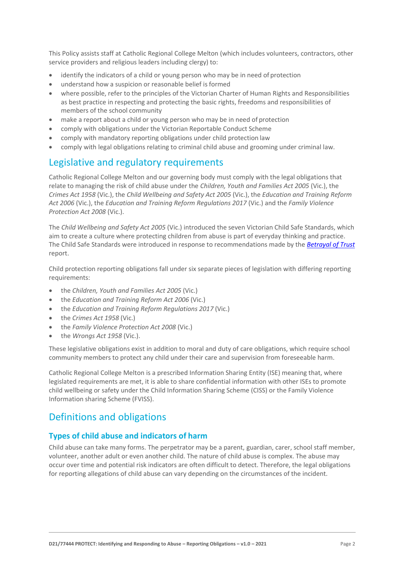This Policy assists staff at Catholic Regional College Melton (which includes volunteers, contractors, other service providers and religious leaders including clergy) to:

- identify the indicators of a child or young person who may be in need of protection
- understand how a suspicion or reasonable belief is formed
- where possible, refer to the principles of the Victorian Charter of Human Rights and Responsibilities as best practice in respecting and protecting the basic rights, freedoms and responsibilities of members of the school community
- make a report about a child or young person who may be in need of protection
- comply with obligations under the Victorian Reportable Conduct Scheme
- comply with mandatory reporting obligations under child protection law
- comply with legal obligations relating to criminal child abuse and grooming under criminal law.

# Legislative and regulatory requirements

Catholic Regional College Melton and our governing body must comply with the legal obligations that relate to managing the risk of child abuse under the *Children, Youth and Families Act 2005* (Vic.), the *Crimes Act 1958* (Vic.), the *Child Wellbeing and Safety Act 2005* (Vic.), the *Education and Training Reform Act 2006* (Vic.), the *Education and Training Reform Regulations 2017* (Vic.) and the *Family Violence Protection Act 2008* (Vic.).

The *Child Wellbeing and Safety Act 2005* (Vic.) introduced the seven Victorian Child Safe Standards, which aim to create a culture where protecting children from abuse is part of everyday thinking and practice. The Child Safe Standards were introduced in response to recommendations made by the *[Betrayal of Trust](http://www.parliament.vic.gov.au/file_uploads/Inquiry_into_Handling_of_Abuse_Volume_2_FINAL_web_y78t3Wpb.pdf)* report.

Child protection reporting obligations fall under six separate pieces of legislation with differing reporting requirements:

- the *Children, Youth and Families Act 2005* (Vic.)
- the *Education and Training Reform Act 2006* (Vic.)
- the *Education and Training Reform Regulations 2017* (Vic.)
- the *Crimes Act 1958* (Vic.)
- the *Family Violence Protection Act 2008* (Vic.)
- the *Wrongs Act 1958* (Vic.).

These legislative obligations exist in addition to moral and duty of care obligations, which require school community members to protect any child under their care and supervision from foreseeable harm.

Catholic Regional College Melton is a prescribed Information Sharing Entity (ISE) meaning that, where legislated requirements are met, it is able to share confidential information with other ISEs to promote child wellbeing or safety under the Child Information Sharing Scheme (CISS) or the Family Violence Information sharing Scheme (FVISS).

# Definitions and obligations

# **Types of child abuse and indicators of harm**

Child abuse can take many forms. The perpetrator may be a parent, guardian, carer, school staff member, volunteer, another adult or even another child. The nature of child abuse is complex. The abuse may occur over time and potential risk indicators are often difficult to detect. Therefore, the legal obligations for reporting allegations of child abuse can vary depending on the circumstances of the incident.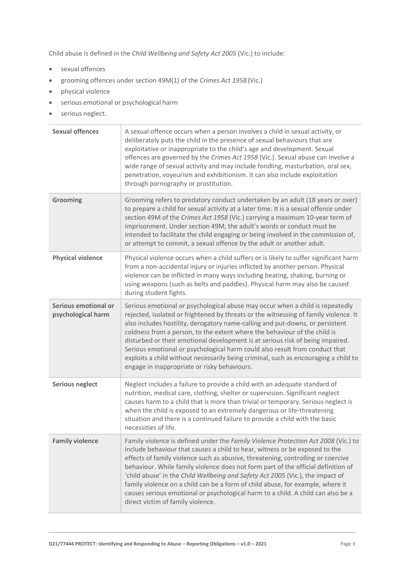Child abuse is defined in the *Child Wellbeing and Safety Act 2005* (Vic.) to include:

- sexual offences
- grooming offences under section 49M(1) of the *Crimes Act 1958* (Vic.)
- physical violence
- serious emotional or psychological harm
- serious neglect.

| <b>Sexual offences</b>                     | A sexual offence occurs when a person involves a child in sexual activity, or<br>deliberately puts the child in the presence of sexual behaviours that are<br>exploitative or inappropriate to the child's age and development. Sexual<br>offences are governed by the Crimes Act 1958 (Vic.). Sexual abuse can involve a<br>wide range of sexual activity and may include fondling, masturbation, oral sex,<br>penetration, voyeurism and exhibitionism. It can also include exploitation<br>through pornography or prostitution.                                                                                                          |
|--------------------------------------------|---------------------------------------------------------------------------------------------------------------------------------------------------------------------------------------------------------------------------------------------------------------------------------------------------------------------------------------------------------------------------------------------------------------------------------------------------------------------------------------------------------------------------------------------------------------------------------------------------------------------------------------------|
| Grooming                                   | Grooming refers to predatory conduct undertaken by an adult (18 years or over)<br>to prepare a child for sexual activity at a later time. It is a sexual offence under<br>section 49M of the Crimes Act 1958 (Vic.) carrying a maximum 10-year term of<br>imprisonment. Under section 49M, the adult's words or conduct must be<br>intended to facilitate the child engaging or being involved in the commission of,<br>or attempt to commit, a sexual offence by the adult or another adult.                                                                                                                                               |
| <b>Physical violence</b>                   | Physical violence occurs when a child suffers or is likely to suffer significant harm<br>from a non-accidental injury or injuries inflicted by another person. Physical<br>violence can be inflicted in many ways including beating, shaking, burning or<br>using weapons (such as belts and paddles). Physical harm may also be caused<br>during student fights.                                                                                                                                                                                                                                                                           |
| Serious emotional or<br>psychological harm | Serious emotional or psychological abuse may occur when a child is repeatedly<br>rejected, isolated or frightened by threats or the witnessing of family violence. It<br>also includes hostility, derogatory name-calling and put-downs, or persistent<br>coldness from a person, to the extent where the behaviour of the child is<br>disturbed or their emotional development is at serious risk of being impaired.<br>Serious emotional or psychological harm could also result from conduct that<br>exploits a child without necessarily being criminal, such as encouraging a child to<br>engage in inappropriate or risky behaviours. |
| <b>Serious neglect</b>                     | Neglect includes a failure to provide a child with an adequate standard of<br>nutrition, medical care, clothing, shelter or supervision. Significant neglect<br>causes harm to a child that is more than trivial or temporary. Serious neglect is<br>when the child is exposed to an extremely dangerous or life-threatening<br>situation and there is a continued failure to provide a child with the basic<br>necessities of life.                                                                                                                                                                                                        |
| <b>Family violence</b>                     | Family violence is defined under the Family Violence Protection Act 2008 (Vic.) to<br>include behaviour that causes a child to hear, witness or be exposed to the<br>effects of family violence such as abusive, threatening, controlling or coercive<br>behaviour. While family violence does not form part of the official definition of<br>'child abuse' in the Child Wellbeing and Safety Act 2005 (Vic.), the impact of<br>family violence on a child can be a form of child abuse, for example, where it<br>causes serious emotional or psychological harm to a child. A child can also be a<br>direct victim of family violence.     |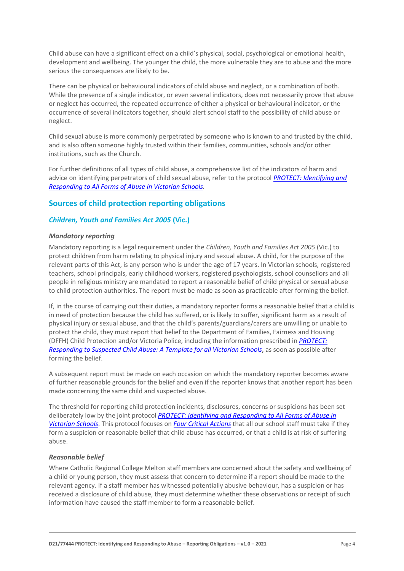Child abuse can have a significant effect on a child's physical, social, psychological or emotional health, development and wellbeing. The younger the child, the more vulnerable they are to abuse and the more serious the consequences are likely to be.

There can be physical or behavioural indicators of child abuse and neglect, or a combination of both. While the presence of a single indicator, or even several indicators, does not necessarily prove that abuse or neglect has occurred, the repeated occurrence of either a physical or behavioural indicator, or the occurrence of several indicators together, should alert school staff to the possibility of child abuse or neglect.

Child sexual abuse is more commonly perpetrated by someone who is known to and trusted by the child, and is also often someone highly trusted within their families, communities, schools and/or other institutions, such as the Church.

For further definitions of all types of child abuse, a comprehensive list of the indicators of harm and advice on identifying perpetrators of child sexual abuse, refer to the protocol *[PROTECT: Identifying and](https://www.education.vic.gov.au/Documents/about/programs/health/protect/ChildSafeStandard5_SchoolsGuide.pdf)  [Responding to All Forms of Abuse in Victorian Schools](https://www.education.vic.gov.au/Documents/about/programs/health/protect/ChildSafeStandard5_SchoolsGuide.pdf)[.](http://www.education.vic.gov.au/Documents/about/programs/health/protect/ChildSafeStandard5_SchoolsGuide.pdf)*

# **Sources of child protection reporting obligations**

## *Children, Youth and Families Act 2005* **(Vic.)**

#### *Mandatory reporting*

Mandatory reporting is a legal requirement under the *Children, Youth and Families Act 2005* (Vic.) to protect children from harm relating to physical injury and sexual abuse. A child, for the purpose of the relevant parts of this Act, is any person who is under the age of 17 years. In Victorian schools, registered teachers, school principals, early childhood workers, registered psychologists, school counsellors and all people in religious ministry are mandated to report a reasonable belief of child physical or sexual abuse to child protection authorities. The report must be made as soon as practicable after forming the belief.

If, in the course of carrying out their duties, a mandatory reporter forms a reasonable belief that a child is in need of protection because the child has suffered, or is likely to suffer, significant harm as a result of physical injury or sexual abuse, and that the child's parents/guardians/carers are unwilling or unable to protect the child, they must report that belief to the Department of Families, Fairness and Housing (DFFH) Child Protection and/or Victoria Police, including the information prescribed in *[PROTECT:](http://www.education.vic.gov.au/Documents/about/programs/health/protect/PROTECT_Responding_TemplateSchools.pdf)  [Responding to Suspected Child Abuse: A Template for all Victorian Schools](http://www.education.vic.gov.au/Documents/about/programs/health/protect/PROTECT_Responding_TemplateSchools.pdf)*, as soon as possible after forming the belief.

A subsequent report must be made on each occasion on which the mandatory reporter becomes aware of further reasonable grounds for the belief and even if the reporter knows that another report has been made concerning the same child and suspected abuse.

The threshold for reporting child protection incidents, disclosures, concerns or suspicions has been set deliberately low by the joint protocol *[PROTECT: Identifying and Responding to All Forms of Abuse in](http://www.education.vic.gov.au/Documents/about/programs/health/protect/ChildSafeStandard5_SchoolsGuide.pdf)  [Victorian Schools](http://www.education.vic.gov.au/Documents/about/programs/health/protect/ChildSafeStandard5_SchoolsGuide.pdf)*[. T](http://www.education.vic.gov.au/Documents/about/programs/health/protect/ChildSafeStandard5_SchoolsGuide.pdf)his protocol focuses on *[Four Critical Actions](http://www.education.vic.gov.au/Documents/about/programs/health/protect/FourCriticalActions_ChildAbuse.pdf)* that all our school staff must take if they form a suspicion or reasonable belief that child abuse has occurred, or that a child is at risk of suffering abuse.

#### <span id="page-3-0"></span>*Reasonable belief*

Where Catholic Regional College Melton staff members are concerned about the safety and wellbeing of a child or young person, they must assess that concern to determine if a report should be made to the relevant agency. If a staff member has witnessed potentially abusive behaviour, has a suspicion or has received a disclosure of child abuse, they must determine whether these observations or receipt of such information have caused the staff member to form a reasonable belief.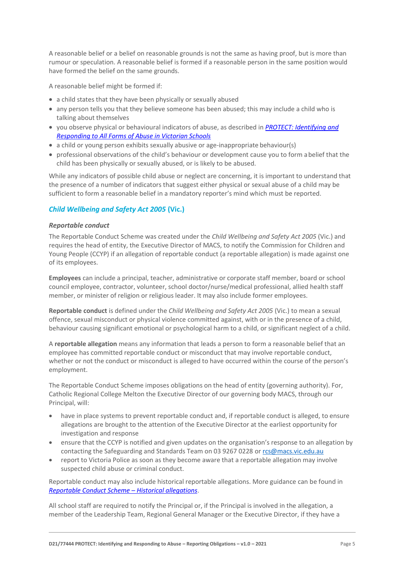A reasonable belief or a belief on reasonable grounds is not the same as having proof, but is more than rumour or speculation. A reasonable belief is formed if a reasonable person in the same position would have formed the belief on the same grounds.

A reasonable belief might be formed if:

- a child states that they have been physically or sexually abused
- any person tells you that they believe someone has been abused; this may include a child who is talking about themselves
- you observe physical or behavioural indicators of abuse, as described in *PROTECT: [Identifying and](http://www.education.vic.gov.au/Documents/about/programs/health/protect/ChildSafeStandard5_SchoolsGuide.pdf)  [Responding to All Forms of Abuse in Victorian Schools](http://www.education.vic.gov.au/Documents/about/programs/health/protect/ChildSafeStandard5_SchoolsGuide.pdf)*
- a child or young person exhibits sexually abusive or age-inappropriate behaviour(s)
- professional observations of the child's behaviour or development cause you to form abelief that the child has been physically or sexually abused, or is likely to be abused.

While any indicators of possible child abuse or neglect are concerning, it is important to understand that the presence of a number of indicators that suggest either physical or sexual abuse of a child may be sufficient to form a reasonable belief in a mandatory reporter's mind which must be reported.

# *Child Wellbeing and Safety Act 2005* **(Vic.)**

#### *Reportable conduct*

The Reportable Conduct Scheme was created under the *Child Wellbeing and Safety Act 2005* (Vic.) and requires the head of entity, the Executive Director of MACS, to notify the Commission for Children and Young People (CCYP) if an allegation of reportable conduct (a reportable allegation) is made against one of its employees.

**Employees** can include a principal, teacher, administrative or corporate staff member, board or school council employee, contractor, volunteer, school doctor/nurse/medical professional, allied health staff member, or minister of religion or religious leader. It may also include former employees.

**Reportable conduct** is defined under the *Child Wellbeing and Safety Act 2005* (Vic.) to mean a sexual offence, sexual misconduct or physical violence committed against, with or in the presence of a child, behaviour causing significant emotional or psychological harm to a child, or significant neglect of a child.

A **reportable allegation** means any information that leads a person to form a reasonable belief that an employee has committed reportable conduct or misconduct that may involve reportable conduct, whether or not the conduct or misconduct is alleged to have occurred within the course of the person's employment.

The Reportable Conduct Scheme imposes obligations on the head of entity (governing authority). For, Catholic Regional College Melton the Executive Director of our governing body MACS, through our Principal, will:

- have in place systems to prevent reportable conduct and, if reportable conduct is alleged, to ensure allegations are brought to the attention of the Executive Director at the earliest opportunity for investigation and response
- ensure that the CCYP is notified and given updates on the organisation's response to an allegation by contacting the Safeguarding and Standards Team on 03 9267 0228 or [rcs@macs.vic.edu.au](mailto:rcs@macs.vic.edu.au)
- report to Victoria Police as soon as they become aware that a reportable allegation may involve suspected child abuse or criminal conduct.

Reportable conduct may also include historical reportable allegations. More guidance can be found in *[Reportable Conduct Scheme](https://ccyp.vic.gov.au/assets/resources/RCSInfoSheetUpdates/Historical-Allegations-110718.pdf) – Historical allegations*.

All school staff are required to notify the Principal or, if the Principal is involved in the allegation, a member of the Leadership Team, Regional General Manager or the Executive Director, if they have a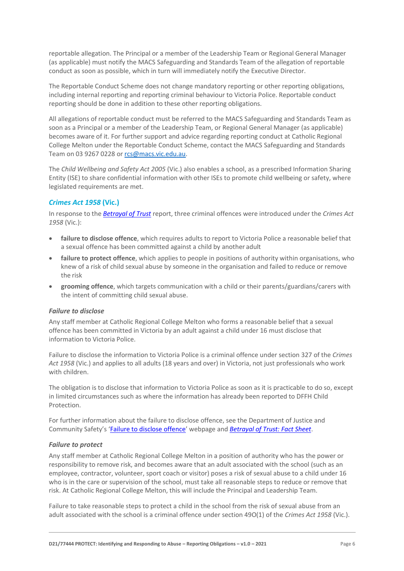reportable allegation. The Principal or a member of the Leadership Team or Regional General Manager (as applicable) must notify the MACS Safeguarding and Standards Team of the allegation of reportable conduct as soon as possible, which in turn will immediately notify the Executive Director.

The Reportable Conduct Scheme does not change mandatory reporting or other reporting obligations, including internal reporting and reporting criminal behaviour to Victoria Police. Reportable conduct reporting should be done in addition to these other reporting obligations.

All allegations of reportable conduct must be referred to the MACS Safeguarding and Standards Team as soon as a Principal or a member of the Leadership Team, or Regional General Manager (as applicable) becomes aware of it. For further support and advice regarding reporting conduct at Catholic Regional College Melton under the Reportable Conduct Scheme, contact the MACS Safeguarding and Standards Team on 03 9267 0228 o[r rcs@macs.vic.edu.au.](mailto:rcs@macs.vic.edu.au)

The *Child Wellbeing and Safety Act 2005* (Vic.) also enables a school, as a prescribed Information Sharing Entity (ISE) to share confidential information with other ISEs to promote child wellbeing or safety, where legislated requirements are met.

# *Crimes Act 1958* **(Vic.)**

In response to the *[Betrayal of Trust](http://www.parliament.vic.gov.au/file_uploads/Inquiry_into_Handling_of_Abuse_Volume_2_FINAL_web_y78t3Wpb.pdf)* report, three criminal offences were introduced under the *Crimes Act 1958* (Vic.):

- **[failure to disclose offence](http://www.justice.vic.gov.au/home/safer%2Bcommunities/protecting%2Bchildren%2Band%2Bfamilies/failure%2Bto%2Bdisclose%2Boffence)**, which requires adults to report to Victoria Police a reasonable belief that a sexual offence has been committed against a child by another adult
- **[failure to protect offence](http://www.justice.vic.gov.au/home/safer%2Bcommunities/protecting%2Bchildren%2Band%2Bfamilies/failure%2Bto%2Bprotect%2Boffence)**, which applies to people in positions of authority within organisations, who knew of a risk of child sexual abuse by someone in the organisation and failed to reduce or remove the risk
- **[grooming offence](http://www.justice.vic.gov.au/home/safer%2Bcommunities/protecting%2Bchildren%2Band%2Bfamilies/grooming%2Boffence)**, which targets communication with a child or their parents/guardians/carers with the intent of committing child sexual abuse.

#### <span id="page-5-0"></span>*Failure to disclose*

Any staff member at Catholic Regional College Melton who forms a reasonable belief that a sexual offence has been committed in Victoria by an adult against a child under 16 must disclose that information to Victoria Police.

Failure to disclose the information to Victoria Police is a criminal offence under section 327 of the *Crimes Act 1958* (Vic.) and applies to all adults (18 years and over) in Victoria, not just professionals who work with children.

The obligation is to disclose that information to Victoria Police as soon as it is practicable to do so, except in limited circumstances such as where the information has already been reported to DFFH Child Protection.

For further information about the failure to disclose offence, see the Department of Justice and Community Safety's 'Failure to [disclose offence](https://www.justice.vic.gov.au/safer-communities/protecting-children-and-families/failure-to-disclose-offence)' webpage and *[Betrayal of Trust: Fact Sheet](https://www.justice.vic.gov.au/sites/default/files/embridge_cache/emshare/original/public/2020/06/c5/7f42d28f3/betrayal_of_trust-organisational_duty_fact_sheet_2018%20.doc)*.

#### *Failure to protect*

Any staff member at Catholic Regional College Melton in a position of authority who has the power or responsibility to remove risk, and becomes aware that an adult associated with the school (such as an employee, contractor, volunteer, sport coach or visitor) poses a risk of sexual abuse to a child under 16 who is in the care or supervision of the school, must take all reasonable steps to reduce or remove that risk. At Catholic Regional College Melton, this will include the Principal and Leadership Team.

Failure to take reasonable steps to protect a child in the school from the risk of sexual abuse from an adult associated with the school is a criminal offence under section 49O(1) of the *Crimes Act 1958* (Vic.).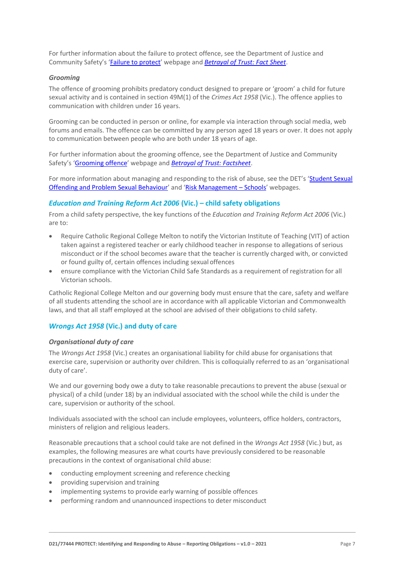For further information about the failure to protect offence, see the Department of Justice and Community Safety's '[Failure to protect](https://www.justice.vic.gov.au/safer-communities/protecting-children-and-families/failure-to-protect-a-new-criminal-offence-to)' webpage and *[Betrayal of Trust: Fact Sheet](https://www.justice.vic.gov.au/sites/default/files/embridge_cache/emshare/original/public/2020/06/e0/4460c5147/failure_to_protect_betrayal_of_trust_factsheet_2017.pdf)*.

#### *Grooming*

The offence of grooming prohibits predatory conduct designed to prepare or 'groom' a child for future sexual activity and is contained in section 49M(1) of the *Crimes Act 1958* (Vic.). The offence applies to communication with children under 16 years.

Grooming can be conducted in person or online, for example via interaction through social media, web forums and emails. The offence can be committed by any person aged 18 years or over. It does not apply to communication between people who are both under 18 years of age.

For further information about the grooming offence, see the Department of Justice and Community Safety's '[Grooming offence](https://www.justice.vic.gov.au/safer-communities/protecting-children-and-families/grooming-offence)' webpage and *[Betrayal of Trust: Factsheet](https://www.justice.vic.gov.au/sites/default/files/embridge_cache/emshare/original/public/2020/06/e6/ea73d4b66/grooming_betrayal_of_trust_factsheet_2017.pdf)*.

For more information about managing and responding to the risk of abuse, see the DET's 'Student Sexual [Offending and Problem Sexual Behaviour](https://www2.education.vic.gov.au/pal/student-sexual-behaviours/policy)' and '[Risk Management](https://www2.education.vic.gov.au/pal/risk-management-schools/policy) – Schools' webpages.

#### *Education and Training Reform Act 2006* **(Vic.) – child safety obligations**

From a child safety perspective, the key functions of the *Education and Training Reform Act 2006* (Vic.) are to:

- Require Catholic Regional College Melton to notify the Victorian Institute of Teaching (VIT) of action taken against a registered teacher or early childhood teacher in response to allegations of serious misconduct or if the school becomes aware that the teacher is currently charged with, or convicted or found guilty of, certain offences including sexual offences
- ensure compliance with the Victorian Child Safe Standards as a requirement of registration for all Victorian schools.

Catholic Regional College Melton and our governing body must ensure that the care, safety and welfare of all students attending the school are in accordance with all applicable Victorian and Commonwealth laws, and that all staff employed at the school are advised of their obligations to child safety.

### *Wrongs Act 1958* **(Vic.) and duty of care**

#### *Organisational duty of care*

The *Wrongs Act 1958* (Vic.) creates an organisational liability for child abuse for organisations that exercise care, supervision or authority over children. This is colloquially referred to as an 'organisational duty of care'.

We and our governing body owe a duty to take reasonable precautions to prevent the abuse (sexual or physical) of a child (under 18) by an individual associated with the school while the child is under the care, supervision or authority of the school.

Individuals associated with the school can include employees, volunteers, office holders, contractors, ministers of religion and religious leaders.

Reasonable precautions that a school could take are not defined in the *Wrongs Act 1958* (Vic.) but, as examples, the following measures are what courts have previously considered to be reasonable precautions in the context of organisational child abuse:

- conducting employment screening and reference checking
- providing supervision and training
- implementing systems to provide early warning of possible offences
- performing random and unannounced inspections to deter misconduct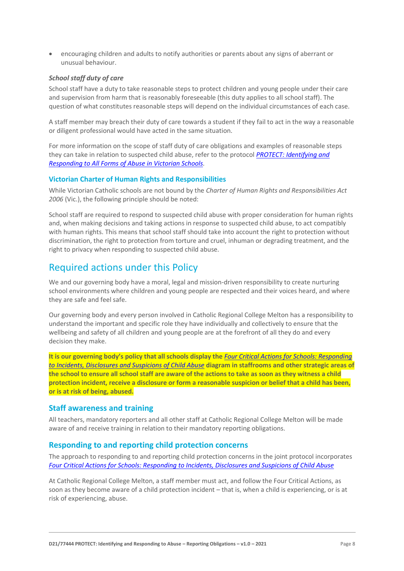• encouraging children and adults to notify authorities or parents about any signs of aberrant or unusual behaviour.

#### *School staff duty of care*

School staff have a duty to take reasonable steps to protect children and young people under their care and supervision from harm that is reasonably foreseeable (this duty applies to all school staff). The question of what constitutes reasonable steps will depend on the individual circumstances of each case.

A staff member may breach their duty of care towards a student if they fail to act in the way a reasonable or diligent professional would have acted in the same situation.

For more information on the scope of staff duty of care obligations and examples of reasonable steps they can take in relation to suspected child abuse, refer to the protocol *[PROTECT: Identifying and](http://www.education.vic.gov.au/Documents/about/programs/health/protect/ChildSafeStandard5_SchoolsGuide.pdf)  [Responding to All Forms of Abuse in Victorian Schools.](http://www.education.vic.gov.au/Documents/about/programs/health/protect/ChildSafeStandard5_SchoolsGuide.pdf)*

#### **Victorian Charter of Human Rights and Responsibilities**

While Victorian Catholic schools are not bound by the *Charter of Human Rights and Responsibilities Act 2006* (Vic.), the following principle should be noted:

School staff are required to respond to suspected child abuse with proper consideration for human rights and, when making decisions and taking actions in response to suspected child abuse, to act compatibly with human rights. This means that school staff should take into account the right to protection without discrimination, the right to protection from torture and cruel, inhuman or degrading treatment, and the right to privacy when responding to suspected child abuse.

# Required actions under this Policy

We and our governing body have a moral, legal and mission-driven responsibility to create nurturing school environments where children and young people are respected and their voices heard, and where they are safe and feel safe.

Our governing body and every person involved in Catholic Regional College Melton has a responsibility to understand the important and specific role they have individually and collectively to ensure that the wellbeing and safety of all children and young people are at the forefront of all they do and every decision they make.

**It is our governing body's policy that all schools display the** *[Four Critical Actions for Schools: Responding](http://www.education.vic.gov.au/Documents/about/programs/health/protect/FourCriticalActions_ChildAbuse.pdf)  [to Incidents, Disclosures and Suspicions of Child Abuse](http://www.education.vic.gov.au/Documents/about/programs/health/protect/FourCriticalActions_ChildAbuse.pdf)* **diagram in staffrooms and other strategic areas of the school to ensure all school staff are aware of the actions to take as soon as they witness a child protection incident, receive a disclosure or form a reasonable suspicion or belief that a child has been, or is at risk of being, abused.**

#### **Staff awareness and training**

All teachers, mandatory reporters and all other staff at Catholic Regional College Melton will be made aware of and receive training in relation to their mandatory reporting obligations.

## **Responding to and reporting child protection concerns**

The approach to responding to and reporting child protection concerns in the joint protocol incorporates *Four Critical Actions for [Schools: Responding to Incidents, Disclosures and Suspicions of Child Abuse](http://www.education.vic.gov.au/Documents/about/programs/health/protect/FourCriticalActions_ChildAbuse.pdf)*

At Catholic Regional College Melton, a staff member must act, and follow the Four Critical Actions, as soon as they become aware of a child protection incident – that is, when a child is experiencing, or is at risk of experiencing, abuse.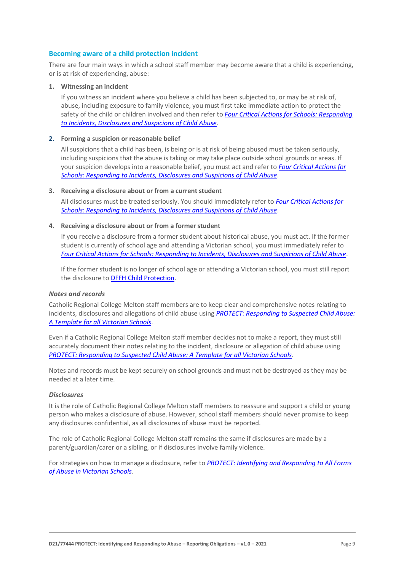#### **Becoming aware of a child protection incident**

There are four main ways in which a school staff member may become aware that a child is experiencing, or is at risk of experiencing, abuse:

#### **1. Witnessing an incident**

If you witness an incident where you believe a child has been subjected to, or may be at risk of, abuse, including exposure to family violence, you must first take immediate action to protect the safety of the child or children involved and then refer to *[Four Critical Actions for Schools: Responding](http://www.education.vic.gov.au/Documents/about/programs/health/protect/FourCriticalActions_ChildAbuse.pdf)  [to Incidents, Disclosures and Suspicions of Child Abuse](http://www.education.vic.gov.au/Documents/about/programs/health/protect/FourCriticalActions_ChildAbuse.pdf)*.

#### **2. Forming a suspicion or reasonable belief**

All suspicions that a child has been, is being or is at risk of being abused must be taken seriously, including suspicions that the abuse is taking or may take place outside school grounds or areas. If your suspicion develops into a reasonable belief, you must act and refer to *[Four Critical Actions for](http://www.education.vic.gov.au/Documents/about/programs/health/protect/FourCriticalActions_ChildAbuse.pdf)  [Schools: Responding to Incidents, Disclosures and Suspicions of Child Abuse](http://www.education.vic.gov.au/Documents/about/programs/health/protect/FourCriticalActions_ChildAbuse.pdf)*.

#### **3. Receiving a disclosure about or from a current student**

All disclosures must be treated seriously. You should immediately refer to *[Four Critical Actions for](http://www.education.vic.gov.au/Documents/about/programs/health/protect/FourCriticalActions_ChildAbuse.pdf)  [Schools: Responding to Incidents, Disclosures and Suspicions of Child Abuse](http://www.education.vic.gov.au/Documents/about/programs/health/protect/FourCriticalActions_ChildAbuse.pdf)*[.](http://www.education.vic.gov.au/Documents/about/programs/health/protect/FourCriticalActions_ChildAbuse.pdf)

#### **4. Receiving a disclosure about or from a formerstudent**

If you receive a disclosure from a former student about historical abuse, you must act. If the former student is currently of school age and attending a Victorian school, you must immediately refer to *[Four Critical Actions for Schools: Responding to Incidents, Disclosures and Suspicions of Child Abuse](http://www.education.vic.gov.au/Documents/about/programs/health/protect/FourCriticalActions_ChildAbuse.pdf)*[.](http://www.education.vic.gov.au/Documents/about/programs/health/protect/FourCriticalActions_ChildAbuse.pdf)

If the former student is no longer of school age or attending a Victorian school, you must still report the disclosure to DFFH [Child Protection](https://www.education.vic.gov.au/about/contact/Pages/reportingabuse.aspx)[.](http://www.education.vic.gov.au/about/contact/Pages/reportingabuse.aspx?Redirect=1)

#### *Notes and records*

Catholic Regional College Melton staff members are to keep clear and comprehensive notes relating to incidents, disclosures and allegations of child abuse using *[PROTECT: Responding to Suspected Child Abuse:](http://www.education.vic.gov.au/Documents/about/programs/health/protect/PROTECT_Responding_TemplateSchools.pdf)  [A Template for all Victorian Schools](http://www.education.vic.gov.au/Documents/about/programs/health/protect/PROTECT_Responding_TemplateSchools.pdf)*.

Even if a Catholic Regional College Melton staff member decides not to make a report, they must still accurately document their notes relating to the incident, disclosure or allegation of child abuse using *[PROTECT: Responding to Suspected Child Abuse: A Template for all Victorian Schools](http://www.education.vic.gov.au/Documents/about/programs/health/protect/PROTECT_Responding_TemplateSchools.pdf)*.

Notes and records must be kept securely on school grounds and must not be destroyed as they may be needed at a later time.

#### *Disclosures*

It is the role of Catholic Regional College Melton staff members to reassure and support a child or young person who makes a disclosure of abuse. However, school staff members should never promise to keep any disclosures confidential, as all disclosures of abuse must be reported.

The role of Catholic Regional College Melton staff remains the same if disclosures are made by a parent/guardian/carer or a sibling, or if disclosures involve family violence.

For strategies on how to manage a disclosure, refer to *[PROTECT: Identifying and Responding to All Forms](http://www.education.vic.gov.au/Documents/about/programs/health/protect/ChildSafeStandard5_SchoolsGuide.pdf)  [of Abuse in Victorian Schools.](http://www.education.vic.gov.au/Documents/about/programs/health/protect/ChildSafeStandard5_SchoolsGuide.pdf)*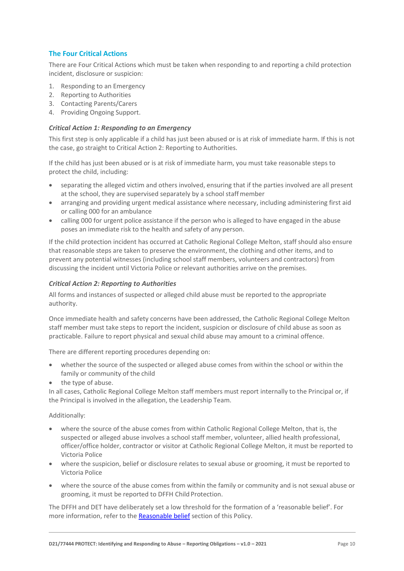# **The Four Critical Actions**

There are Four Critical Actions which must be taken when responding to and reporting a child protection incident, disclosure or suspicion:

- 1. Responding to an Emergency
- 2. Reporting to Authorities
- 3. Contacting Parents/Carers
- 4. Providing Ongoing Support.

#### *Critical Action 1: Responding to an Emergency*

This first step is only applicable if a child has just been abused or is at risk of immediate harm. If this is not the case, go straight to Critical Action 2: Reporting to Authorities.

If the child has just been abused or is at risk of immediate harm, you must take reasonable steps to protect the child, including:

- separating the alleged victim and others involved, ensuring that if the parties involved are all present at the school, they are supervised separately by a school staffmember
- arranging and providing urgent medical assistance where necessary, including administering first aid or calling 000 for an ambulance
- calling 000 for urgent police assistance if the person who is alleged to have engaged in the abuse poses an immediate risk to the health and safety of any person.

If the child protection incident has occurred at Catholic Regional College Melton, staff should also ensure that reasonable steps are taken to preserve the environment, the clothing and other items, and to prevent any potential witnesses (including school staff members, volunteers and contractors) from discussing the incident until Victoria Police or relevant authorities arrive on the premises.

## *Critical Action 2: Reporting to Authorities*

All forms and instances of suspected or alleged child abuse must be reported to the appropriate authority.

Once immediate health and safety concerns have been addressed, the Catholic Regional College Melton staff member must take steps to report the incident, suspicion or disclosure of child abuse as soon as practicable. Failure to report physical and sexual child abuse may amount to a criminal offence.

There are different reporting procedures depending on:

- whether the source of the suspected or alleged abuse comes from within the school or within the family or community of the child
- the type of abuse.

In all cases, Catholic Regional College Melton staff members must report internally to the Principal or, if the Principal is involved in the allegation, the Leadership Team.

Additionally:

- where the source of the abuse comes from within Catholic Regional College Melton, that is, the suspected or alleged abuse involves a school staff member, volunteer, allied health professional, officer/office holder, contractor or visitor at Catholic Regional College Melton, it must be reported to Victoria Police
- where the suspicion, belief or disclosure relates to sexual abuse or grooming, it must be reported to Victoria Police
- where the source of the abuse comes from within the family or community and is not sexual abuse or grooming, it must be reported to DFFH Child Protection.

The DFFH and DET have deliberately set a low threshold for the formation of a 'reasonable belief'. For more information, refer to the [Reasonable belief](#page-3-0) section of this Policy.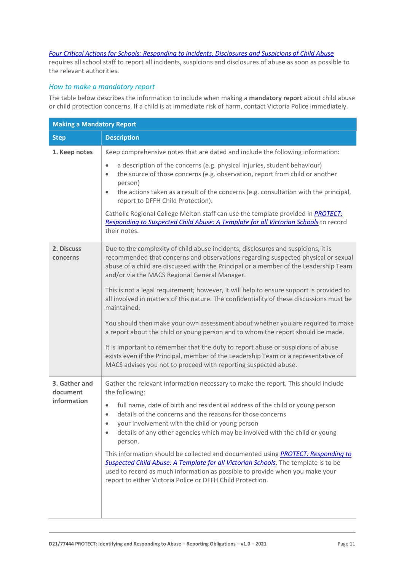### *[Four Critical Actions for Schools: Responding to Incidents, Disclosures and Suspicions of Child Abuse](http://www.education.vic.gov.au/Documents/about/programs/health/protect/FourCriticalActions_ChildAbuse.pdf)*

requires all school staff to report all incidents, suspicions and disclosures of abuse as soon as possible to the relevant authorities.

# *How to make a mandatory report*

The table below describes the information to include when making a **mandatory report** about child abuse or child protection concerns. If a child is at immediate risk of harm, contact Victoria Police immediately.

| <b>Making a Mandatory Report</b> |                                                                                                                                                                                                                                                                                                                             |  |
|----------------------------------|-----------------------------------------------------------------------------------------------------------------------------------------------------------------------------------------------------------------------------------------------------------------------------------------------------------------------------|--|
| <b>Step</b>                      | <b>Description</b>                                                                                                                                                                                                                                                                                                          |  |
| 1. Keep notes                    | Keep comprehensive notes that are dated and include the following information:                                                                                                                                                                                                                                              |  |
|                                  | a description of the concerns (e.g. physical injuries, student behaviour)<br>$\bullet$<br>the source of those concerns (e.g. observation, report from child or another<br>$\bullet$<br>person)                                                                                                                              |  |
|                                  | the actions taken as a result of the concerns (e.g. consultation with the principal,<br>$\bullet$<br>report to DFFH Child Protection).                                                                                                                                                                                      |  |
|                                  | Catholic Regional College Melton staff can use the template provided in PROTECT:<br>Responding to Suspected Child Abuse: A Template for all Victorian Schools to record<br>their notes.                                                                                                                                     |  |
| 2. Discuss<br>concerns           | Due to the complexity of child abuse incidents, disclosures and suspicions, it is<br>recommended that concerns and observations regarding suspected physical or sexual<br>abuse of a child are discussed with the Principal or a member of the Leadership Team<br>and/or via the MACS Regional General Manager.             |  |
|                                  | This is not a legal requirement; however, it will help to ensure support is provided to<br>all involved in matters of this nature. The confidentiality of these discussions must be<br>maintained.                                                                                                                          |  |
|                                  | You should then make your own assessment about whether you are required to make<br>a report about the child or young person and to whom the report should be made.                                                                                                                                                          |  |
|                                  | It is important to remember that the duty to report abuse or suspicions of abuse<br>exists even if the Principal, member of the Leadership Team or a representative of<br>MACS advises you not to proceed with reporting suspected abuse.                                                                                   |  |
| 3. Gather and<br>document        | Gather the relevant information necessary to make the report. This should include<br>the following:                                                                                                                                                                                                                         |  |
| information                      | full name, date of birth and residential address of the child or young person<br>$\bullet$<br>details of the concerns and the reasons for those concerns<br>$\bullet$<br>your involvement with the child or young person<br>details of any other agencies which may be involved with the child or young<br>$\bullet$        |  |
|                                  | person.                                                                                                                                                                                                                                                                                                                     |  |
|                                  | This information should be collected and documented using <b>PROTECT: Responding to</b><br>Suspected Child Abuse: A Template for all Victorian Schools. The template is to be<br>used to record as much information as possible to provide when you make your<br>report to either Victoria Police or DFFH Child Protection. |  |
|                                  |                                                                                                                                                                                                                                                                                                                             |  |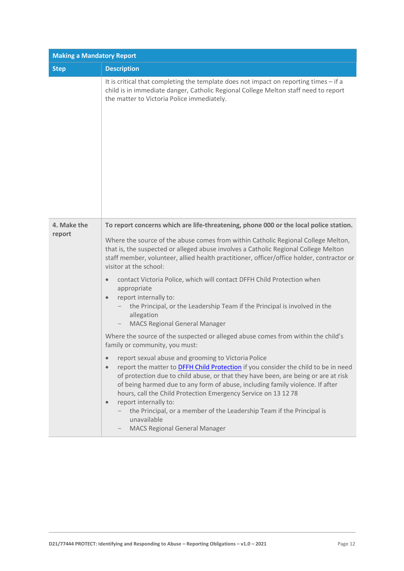| <b>Making a Mandatory Report</b> |                                                                                                                                                                                                                                                                                                                                                                                                                                                                                                                                                                                                                                                                                                                                                                                                                                                                                                                                                                                                                                                                   |  |
|----------------------------------|-------------------------------------------------------------------------------------------------------------------------------------------------------------------------------------------------------------------------------------------------------------------------------------------------------------------------------------------------------------------------------------------------------------------------------------------------------------------------------------------------------------------------------------------------------------------------------------------------------------------------------------------------------------------------------------------------------------------------------------------------------------------------------------------------------------------------------------------------------------------------------------------------------------------------------------------------------------------------------------------------------------------------------------------------------------------|--|
| <b>Step</b>                      | <b>Description</b>                                                                                                                                                                                                                                                                                                                                                                                                                                                                                                                                                                                                                                                                                                                                                                                                                                                                                                                                                                                                                                                |  |
|                                  | It is critical that completing the template does not impact on reporting times - if a<br>child is in immediate danger, Catholic Regional College Melton staff need to report<br>the matter to Victoria Police immediately.                                                                                                                                                                                                                                                                                                                                                                                                                                                                                                                                                                                                                                                                                                                                                                                                                                        |  |
| 4. Make the<br>report            | To report concerns which are life-threatening, phone 000 or the local police station.<br>Where the source of the abuse comes from within Catholic Regional College Melton,<br>that is, the suspected or alleged abuse involves a Catholic Regional College Melton<br>staff member, volunteer, allied health practitioner, officer/office holder, contractor or<br>visitor at the school:<br>contact Victoria Police, which will contact DFFH Child Protection when<br>$\bullet$<br>appropriate<br>report internally to:<br>$\bullet$<br>the Principal, or the Leadership Team if the Principal is involved in the<br>allegation<br><b>MACS Regional General Manager</b><br>Where the source of the suspected or alleged abuse comes from within the child's<br>family or community, you must:<br>report sexual abuse and grooming to Victoria Police<br>$\bullet$<br>report the matter to <b>DFFH Child Protection</b> if you consider the child to be in need<br>$\bullet$<br>of protection due to child abuse, or that they have been, are being or are at risk |  |
|                                  | of being harmed due to any form of abuse, including family violence. If after<br>hours, call the Child Protection Emergency Service on 13 12 78<br>report internally to:<br>$\bullet$<br>the Principal, or a member of the Leadership Team if the Principal is<br>unavailable<br><b>MACS Regional General Manager</b>                                                                                                                                                                                                                                                                                                                                                                                                                                                                                                                                                                                                                                                                                                                                             |  |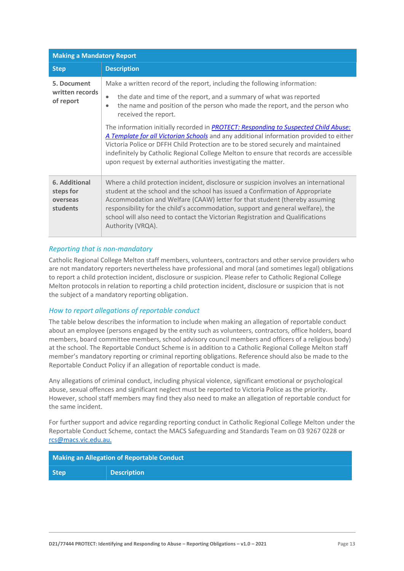| <b>Making a Mandatory Report</b>                   |                                                                                                                                                                                                                                                                                                                                                                                                                                                                                                                                                                                                                                                                                                                     |  |
|----------------------------------------------------|---------------------------------------------------------------------------------------------------------------------------------------------------------------------------------------------------------------------------------------------------------------------------------------------------------------------------------------------------------------------------------------------------------------------------------------------------------------------------------------------------------------------------------------------------------------------------------------------------------------------------------------------------------------------------------------------------------------------|--|
| <b>Step</b>                                        | <b>Description</b>                                                                                                                                                                                                                                                                                                                                                                                                                                                                                                                                                                                                                                                                                                  |  |
| 5. Document<br>written records<br>of report        | Make a written record of the report, including the following information:<br>the date and time of the report, and a summary of what was reported<br>$\bullet$<br>the name and position of the person who made the report, and the person who<br>$\bullet$<br>received the report.<br>The information initially recorded in PROTECT: Responding to Suspected Child Abuse:<br>A Template for all Victorian Schools and any additional information provided to either<br>Victoria Police or DFFH Child Protection are to be stored securely and maintained<br>indefinitely by Catholic Regional College Melton to ensure that records are accessible<br>upon request by external authorities investigating the matter. |  |
| 6. Additional<br>steps for<br>overseas<br>students | Where a child protection incident, disclosure or suspicion involves an international<br>student at the school and the school has issued a Confirmation of Appropriate<br>Accommodation and Welfare (CAAW) letter for that student (thereby assuming<br>responsibility for the child's accommodation, support and general welfare), the<br>school will also need to contact the Victorian Registration and Qualifications<br>Authority (VRQA).                                                                                                                                                                                                                                                                       |  |

## *Reporting that is non-mandatory*

Catholic Regional College Melton staff members, volunteers, contractors and other service providers who are not mandatory reporters nevertheless have professional and moral (and sometimes legal) obligations to report a child protection incident, disclosure or suspicion. Please refer to Catholic Regional College Melton protocols in relation to reporting a child protection incident, disclosure or suspicion that is not the subject of a mandatory reporting obligation.

### *How to report allegations of reportable conduct*

The table below describes the information to include when making an allegation of reportable conduct about an employee (persons engaged by the entity such as volunteers, contractors, office holders, board members, board committee members, school advisory council members and officers of a religious body) at the school. The Reportable Conduct Scheme is in addition to a Catholic Regional College Melton staff member's mandatory reporting or criminal reporting obligations. Reference should also be made to the Reportable Conduct Policy if an allegation of reportable conduct is made.

Any allegations of criminal conduct, including physical violence, significant emotional or psychological abuse, sexual offences and significant neglect must be reported to Victoria Police as the priority. However, school staff members may find they also need to make an allegation of reportable conduct for the same incident.

For further support and advice regarding reporting conduct in Catholic Regional College Melton under the Reportable Conduct Scheme, contact the MACS Safeguarding and Standards Team on 03 9267 0228 or [rcs@macs.vic.edu.au.](mailto:rcs@macs.vic.edu.au.)

| Making an Allegation of Reportable Conduct |                    |
|--------------------------------------------|--------------------|
| <b>Step</b>                                | <b>Description</b> |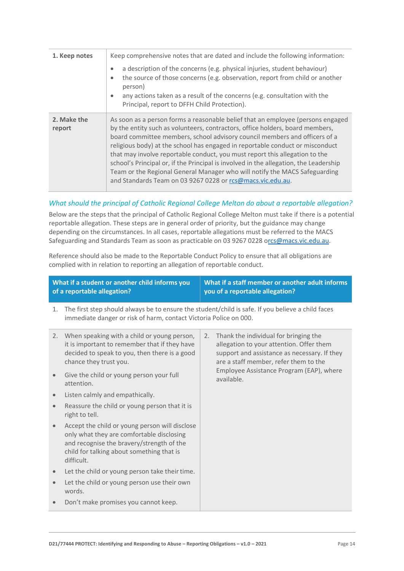| 1. Keep notes         | Keep comprehensive notes that are dated and include the following information:<br>a description of the concerns (e.g. physical injuries, student behaviour)<br>$\bullet$<br>the source of those concerns (e.g. observation, report from child or another<br>$\bullet$<br>person)<br>any actions taken as a result of the concerns (e.g. consultation with the<br>$\bullet$<br>Principal, report to DFFH Child Protection).                                                                                                                                                                                                                          |
|-----------------------|-----------------------------------------------------------------------------------------------------------------------------------------------------------------------------------------------------------------------------------------------------------------------------------------------------------------------------------------------------------------------------------------------------------------------------------------------------------------------------------------------------------------------------------------------------------------------------------------------------------------------------------------------------|
| 2. Make the<br>report | As soon as a person forms a reasonable belief that an employee (persons engaged<br>by the entity such as volunteers, contractors, office holders, board members,<br>board committee members, school advisory council members and officers of a<br>religious body) at the school has engaged in reportable conduct or misconduct<br>that may involve reportable conduct, you must report this allegation to the<br>school's Principal or, if the Principal is involved in the allegation, the Leadership<br>Team or the Regional General Manager who will notify the MACS Safeguarding<br>and Standards Team on 03 9267 0228 or rcs@macs.vic.edu.au. |

# *What should the principal of Catholic Regional College Melton do about a reportable allegation?*

Below are the steps that the principal of Catholic Regional College Melton must take if there is a potential reportable allegation. These steps are in general order of priority, but the guidance may change depending on the circumstances. In all cases, reportable allegations must be referred to the MACS Safeguarding and Standards Team as soon as practicable on 03 9267 0228 [orcs@macs.vic.edu.au.](mailto:rcs@macs.vic.edu.au)

Reference should also be made to the Reportable Conduct Policy to ensure that all obligations are complied with in relation to reporting an allegation of reportable conduct.

|           | What if a student or another child informs you<br>of a reportable allegation?                                                                                                                       | What if a staff member or another adult informs<br>you of a reportable allegation?                                                                                               |  |
|-----------|-----------------------------------------------------------------------------------------------------------------------------------------------------------------------------------------------------|----------------------------------------------------------------------------------------------------------------------------------------------------------------------------------|--|
| 1.        | The first step should always be to ensure the student/child is safe. If you believe a child faces<br>immediate danger or risk of harm, contact Victoria Police on 000.                              |                                                                                                                                                                                  |  |
| 2.        | When speaking with a child or young person,<br>it is important to remember that if they have<br>decided to speak to you, then there is a good<br>chance they trust you.                             | Thank the individual for bringing the<br>2.<br>allegation to your attention. Offer them<br>support and assistance as necessary. If they<br>are a staff member, refer them to the |  |
| $\bullet$ | Give the child or young person your full<br>attention.                                                                                                                                              | Employee Assistance Program (EAP), where<br>available.                                                                                                                           |  |
| $\bullet$ | Listen calmly and empathically.                                                                                                                                                                     |                                                                                                                                                                                  |  |
| $\bullet$ | Reassure the child or young person that it is<br>right to tell.                                                                                                                                     |                                                                                                                                                                                  |  |
|           | Accept the child or young person will disclose<br>only what they are comfortable disclosing<br>and recognise the bravery/strength of the<br>child for talking about something that is<br>difficult. |                                                                                                                                                                                  |  |
|           | Let the child or young person take their time.                                                                                                                                                      |                                                                                                                                                                                  |  |
|           | Let the child or young person use their own<br>words.                                                                                                                                               |                                                                                                                                                                                  |  |
|           | Don't make promises you cannot keep.                                                                                                                                                                |                                                                                                                                                                                  |  |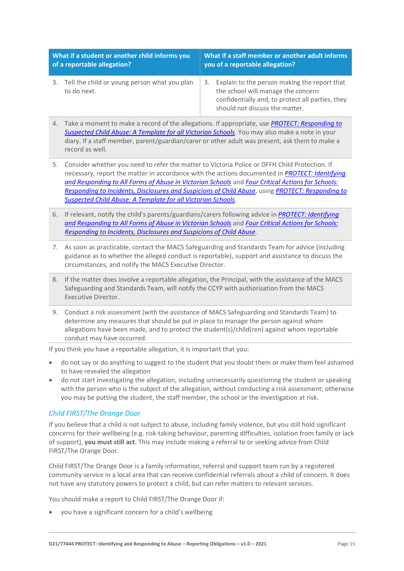| What if a student or another child informs you              | What if a staff member or another adult informs                                                                                                                             |  |
|-------------------------------------------------------------|-----------------------------------------------------------------------------------------------------------------------------------------------------------------------------|--|
| of a reportable allegation?                                 | you of a reportable allegation?                                                                                                                                             |  |
| Tell the child or young person what you plan<br>to do next. | 3. Explain to the person making the report that<br>the school will manage the concern<br>confidentially and, to protect all parties, they<br>should not discuss the matter. |  |

- 4. Take a moment to make a record of the allegations. If appropriate, use *[PROTECT: Responding to](http://www.education.vic.gov.au/Documents/about/programs/health/protect/PROTECT_Responding_TemplateSchools.pdf)  [Suspected Child Abuse: A Template for all Victorian Schools](http://www.education.vic.gov.au/Documents/about/programs/health/protect/PROTECT_Responding_TemplateSchools.pdf)*. You may also make a note in your diary. If a staff member, parent/guardian/carer or other adult was present, ask them to make a record as well.
- 5. Consider whether you need to refer the matter to Victoria Police or DFFH Child Protection. If necessary, report the matter in accordance with the actions documented in *[PROTECT: Identifying](http://www.education.vic.gov.au/Documents/about/programs/health/protect/ChildSafeStandard5_SchoolsGuide.pdf)  [and Responding to All Forms of Abuse in Victorian Schools](http://www.education.vic.gov.au/Documents/about/programs/health/protect/ChildSafeStandard5_SchoolsGuide.pdf)* and *[Four Critical Actions for Schools:](http://www.education.vic.gov.au/Documents/about/programs/health/protect/FourCriticalActions_ChildAbuse.pdf)  [Responding to Incidents, Disclosures and Suspicions of Child Abuse](http://www.education.vic.gov.au/Documents/about/programs/health/protect/FourCriticalActions_ChildAbuse.pdf)*, using *[PROTECT: Responding to](http://www.education.vic.gov.au/Documents/about/programs/health/protect/PROTECT_Responding_TemplateSchools.pdf)  [Suspected Child Abuse: A Template for all Victorian Schools](http://www.education.vic.gov.au/Documents/about/programs/health/protect/PROTECT_Responding_TemplateSchools.pdf)*.
- 6. If relevant, notify the child's parents/guardians/carers following advice in *[PROTECT: Identifying](http://www.education.vic.gov.au/Documents/about/programs/health/protect/ChildSafeStandard5_SchoolsGuide.pdf)  [and Responding to All Forms of Abuse in Victorian Schools](http://www.education.vic.gov.au/Documents/about/programs/health/protect/ChildSafeStandard5_SchoolsGuide.pdf)* and *[Four Critical Actions for Schools:](http://www.education.vic.gov.au/Documents/about/programs/health/protect/FourCriticalActions_ChildAbuse.pdf)  [Responding to Incidents, Disclosures and Suspicions of Child Abuse](http://www.education.vic.gov.au/Documents/about/programs/health/protect/FourCriticalActions_ChildAbuse.pdf)*.
- 7. As soon as practicable, contact the MACS Safeguarding and Standards Team for advice (including guidance as to whether the alleged conduct is reportable), support and assistance to discuss the circumstances, and notify the MACS Executive Director.
- 8. If the matter does involve a reportable allegation, the Principal, with the assistance of the MACS Safeguarding and Standards Team, will notify the CCYP with authorisation from the MACS Executive Director.
- 9. Conduct a risk assessment (with the assistance of MACS Safeguarding and Standards Team) to determine any measures that should be put in place to manage the person against whom allegations have been made, and to protect the student(s)/child(ren) against whom reportable conduct may have occurred.

If you think you have a reportable allegation, it is important that you:

- do not say or do anything to suggest to the student that you doubt them or make them feel ashamed to have revealed the allegation
- do not start investigating the allegation, including unnecessarily questioning the student or speaking with the person who is the subject of the allegation, without conducting a risk assessment; otherwise you may be putting the student, the staff member, the school or the investigation at risk.

# *Child FIRST/The Orange Door*

If you believe that a child is not subject to abuse, including family violence, but you still hold significant concerns for their wellbeing (e.g. risk-taking behaviour, parenting difficulties, isolation from family or lack of support), **you must still act**. This may include making a referral to or seeking advice from Child FIRST/The Orange Door.

Child FIRST/The Orange Door is a family information, referral and support team run by a registered community service in a local area that can receive confidential referrals about a child of concern. It does not have any statutory powers to protect a child, but can refer matters to relevant services.

You should make a report to Child FIRST/The Orange Door if:

• you have a significant concern for a child's wellbeing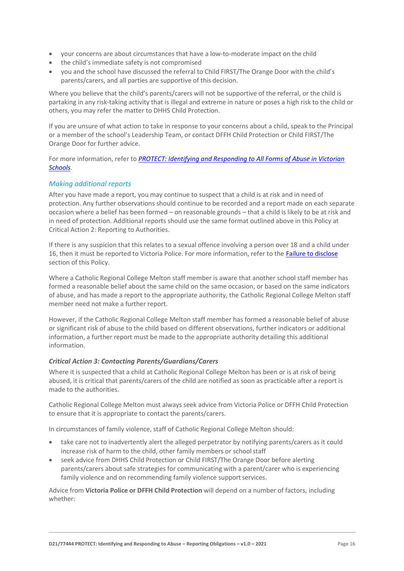- your concerns are about circumstances that have a low-to-moderate impact on the child
- the child's immediate safety is not compromised
- you and the school have discussed the referral to Child FIRST/The Orange Door with the child's parents/carers, and all parties are supportive of this decision.

Where you believe that the child's parents/carers will not be supportive of the referral, or the child is partaking in any risk-taking activity that is illegal and extreme in nature or poses a high risk to the child or others, you may refer the matter to DHHS Child Protection.

If you are unsure of what action to take in response to your concerns about a child, speak to the Principal or a member of the school's Leadership Team, or contact DFFH Child Protection or Child FIRST/The Orange Door for further advice.

For more information, refer to *[PROTECT: Identifying and Responding to All Forms of Abuse in Victorian](http://www.education.vic.gov.au/Documents/about/programs/health/protect/ChildSafeStandard5_SchoolsGuide.pdf)  [Schools](http://www.education.vic.gov.au/Documents/about/programs/health/protect/ChildSafeStandard5_SchoolsGuide.pdf)*.

# *Making additional reports*

After you have made a report, you may continue to suspect that a child is at risk and in need of protection. Any further observations should continue to be recorded and a report made on each separate occasion where a belief has been formed – on reasonable grounds – that a child is likely to be at risk and in need of protection. Additional reports should use the same format outlined above in this Policy at Critical Action 2: Reporting to Authorities.

If there is any suspicion that this relates to a sexual offence involving a person over 18 and a child under 16, then it must be reported to Victoria Police. For more information, refer to the [Failure to disclose](#page-5-0) section of this Policy.

Where a Catholic Regional College Melton staff member is aware that another school staff member has formed a reasonable belief about the same child on the same occasion, or based on the same indicators of abuse, and has made a report to the appropriate authority, the Catholic Regional College Melton staff member need not make a further report.

However, if the Catholic Regional College Melton staff member has formed a reasonable belief of abuse or significant risk of abuse to the child based on different observations, further indicators or additional information, a further report must be made to the appropriate authority detailing this additional information.

#### *Critical Action 3: Contacting Parents/Guardians/Carers*

Where it is suspected that a child at Catholic Regional College Melton has been or is at risk of being abused, it is critical that parents/carers of the child are notified as soon as practicable after a report is made to the authorities.

Catholic Regional College Melton must always seek advice from Victoria Police or DFFH Child Protection to ensure that it is appropriate to contact the parents/carers.

In circumstances of family violence, staff of Catholic Regional College Melton should:

- take care not to inadvertently alert the alleged perpetrator by notifying parents/carers as it could increase risk of harm to the child, other family members or schoolstaff
- seek advice from DHHS Child Protection or Child FIRST/The Orange Door before alerting parents/carers about safe strategies for communicating with a parent/carer who is experiencing family violence and on recommending family violence support services.

Advice from **Victoria Police or DFFH Child Protection** will depend on a number of factors, including whether: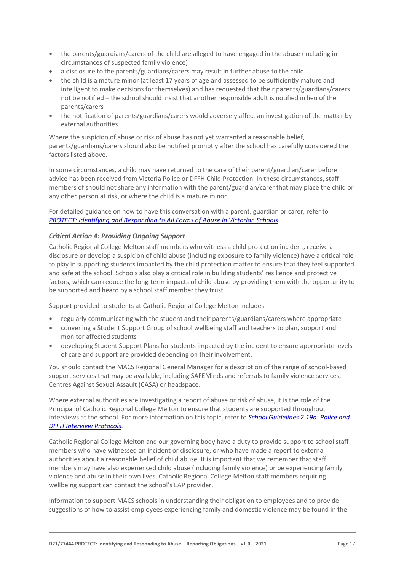- the parents/guardians/carers of the child are alleged to have engaged in the abuse (including in circumstances of suspected family violence)
- a disclosure to the parents/guardians/carers may result in further abuse to the child
- the child is a mature minor (at least 17 years of age and assessed to be sufficiently mature and intelligent to make decisions for themselves) and has requested that their parents/guardians/carers not be notified – the school should insist that another responsible adult is notified in lieu of the parents/carers
- the notification of parents/guardians/carers would adversely affect an investigation of the matter by external authorities.

Where the suspicion of abuse or risk of abuse has not yet warranted a reasonable belief. parents/guardians/carers should also be notified promptly after the school has carefully considered the factors listed above.

In some circumstances, a child may have returned to the care of their parent/guardian/carer before advice has been received from Victoria Police or DFFH Child Protection. In these circumstances, staff members of should not share any information with the parent/guardian/carer that may place the child or any other person at risk, or where the child is a mature minor.

For detailed guidance on how to have this conversation with a parent, guardian or carer, refer to *[PROTECT: Identifying and Responding to All Forms of Abuse in Victorian Schools.](http://www.education.vic.gov.au/Documents/about/programs/health/protect/ChildSafeStandard5_SchoolsGuide.pdf)*

## *Critical Action 4: Providing Ongoing Support*

Catholic Regional College Melton staff members who witness a child protection incident, receive a disclosure or develop a suspicion of child abuse (including exposure to family violence) have a critical role to play in supporting students impacted by the child protection matter to ensure that they feel supported and safe at the school. Schools also play a critical role in building students' resilience and protective factors, which can reduce the long-term impacts of child abuse by providing them with the opportunity to be supported and heard by a school staff member they trust.

Support provided to students at Catholic Regional College Melton includes:

- regularly communicating with the student and their parents/guardians/carers where appropriate
- convening a Student Support Group of school wellbeing staff and teachers to plan, support and monitor affected students
- developing Student Support Plans for students impacted by the incident to ensure appropriate levels of care and support are provided depending on their involvement.

You should contact the MACS Regional General Manager for a description of the range of school-based support services that may be available, including SAFEMinds and referrals to family violence services, Centres Against Sexual Assault (CASA) or headspace.

Where external authorities are investigating a report of abuse or risk of abuse, it is the role of the Principal of Catholic Regional College Melton to ensure that students are supported throughout interviews at the school. For more information on this topic, refer to *[School Guidelines 2.19a: Police and](https://www.cem.edu.au/About-Us/Policies/Police-and-DHHS-Interview-Protocols.aspx)  DFFH [Interview Protocols.](https://www.cem.edu.au/About-Us/Policies/Police-and-DHHS-Interview-Protocols.aspx)*

Catholic Regional College Melton and our governing body have a duty to provide support to school staff members who have witnessed an incident or disclosure, or who have made a report to external authorities about a reasonable belief of child abuse. It is important that we remember that staff members may have also experienced child abuse (including family violence) or be experiencing family violence and abuse in their own lives. Catholic Regional College Melton staff members requiring wellbeing support can contact the school's EAP provider.

Information to support MACS schools in understanding their obligation to employees and to provide suggestions of how to assist employees experiencing family and domestic violence may be found in the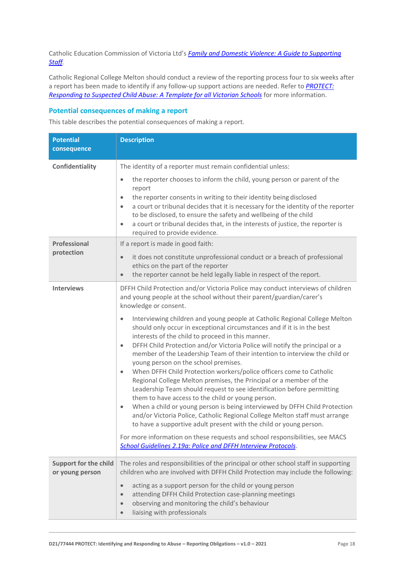Catholic Education Commission of Victoria Ltd's *[Family and Domestic Violence: A Guide to Supporting](https://www.cecv.catholic.edu.au/Media-Files/IR/Policies-Guidelines/Family-Domestic-Violence/Guide-to-family-and-domestic-violence-(1).aspx)  [Staff](https://www.cecv.catholic.edu.au/Media-Files/IR/Policies-Guidelines/Family-Domestic-Violence/Guide-to-family-and-domestic-violence-(1).aspx)[.](http://www.cecv.catholic.edu.au/Media-Files/IR/Policies-Guidelines/Guide-to-family-and-domestic-violence.aspx)*

Catholic Regional College Melton should conduct a review of the reporting process four to six weeks after a report has been made to identify if any follow-up support actions are needed. Refer to *[PROTECT:](http://www.education.vic.gov.au/Documents/about/programs/health/protect/PROTECT_Responding_TemplateSchools.pdf)  [Responding to Suspected Child Abuse: A Template for all Victorian Schools](http://www.education.vic.gov.au/Documents/about/programs/health/protect/PROTECT_Responding_TemplateSchools.pdf)* for more information.

# **Potential consequences of making a report**

This table describes the potential consequences of making a report.

| <b>Potential</b><br>consequence                 | <b>Description</b>                                                                                                                                                                                                                                                                                                                                                                                                                                                                                                                                                                                                            |
|-------------------------------------------------|-------------------------------------------------------------------------------------------------------------------------------------------------------------------------------------------------------------------------------------------------------------------------------------------------------------------------------------------------------------------------------------------------------------------------------------------------------------------------------------------------------------------------------------------------------------------------------------------------------------------------------|
| Confidentiality                                 | The identity of a reporter must remain confidential unless:                                                                                                                                                                                                                                                                                                                                                                                                                                                                                                                                                                   |
|                                                 | the reporter chooses to inform the child, young person or parent of the<br>$\bullet$<br>report<br>the reporter consents in writing to their identity being disclosed<br>$\bullet$<br>a court or tribunal decides that it is necessary for the identity of the reporter<br>$\bullet$<br>to be disclosed, to ensure the safety and wellbeing of the child<br>a court or tribunal decides that, in the interests of justice, the reporter is<br>$\bullet$<br>required to provide evidence.                                                                                                                                       |
| Professional                                    | If a report is made in good faith:                                                                                                                                                                                                                                                                                                                                                                                                                                                                                                                                                                                            |
| protection                                      | it does not constitute unprofessional conduct or a breach of professional<br>$\bullet$<br>ethics on the part of the reporter<br>the reporter cannot be held legally liable in respect of the report.<br>$\bullet$                                                                                                                                                                                                                                                                                                                                                                                                             |
| <b>Interviews</b>                               | DFFH Child Protection and/or Victoria Police may conduct interviews of children<br>and young people at the school without their parent/guardian/carer's<br>knowledge or consent.<br>Interviewing children and young people at Catholic Regional College Melton<br>$\bullet$<br>should only occur in exceptional circumstances and if it is in the best<br>interests of the child to proceed in this manner.<br>DFFH Child Protection and/or Victoria Police will notify the principal or a<br>$\bullet$<br>member of the Leadership Team of their intention to interview the child or<br>young person on the school premises. |
|                                                 | When DFFH Child Protection workers/police officers come to Catholic<br>$\bullet$<br>Regional College Melton premises, the Principal or a member of the<br>Leadership Team should request to see identification before permitting<br>them to have access to the child or young person.<br>When a child or young person is being interviewed by DFFH Child Protection<br>$\bullet$<br>and/or Victoria Police, Catholic Regional College Melton staff must arrange<br>to have a supportive adult present with the child or young person.                                                                                         |
|                                                 | For more information on these requests and school responsibilities, see MACS<br>School Guidelines 2.19a: Police and DFFH Interview Protocols.                                                                                                                                                                                                                                                                                                                                                                                                                                                                                 |
| <b>Support for the child</b><br>or young person | The roles and responsibilities of the principal or other school staff in supporting<br>children who are involved with DFFH Child Protection may include the following:                                                                                                                                                                                                                                                                                                                                                                                                                                                        |
|                                                 | acting as a support person for the child or young person<br>$\bullet$<br>attending DFFH Child Protection case-planning meetings<br>$\bullet$<br>observing and monitoring the child's behaviour<br>$\bullet$<br>liaising with professionals<br>$\bullet$                                                                                                                                                                                                                                                                                                                                                                       |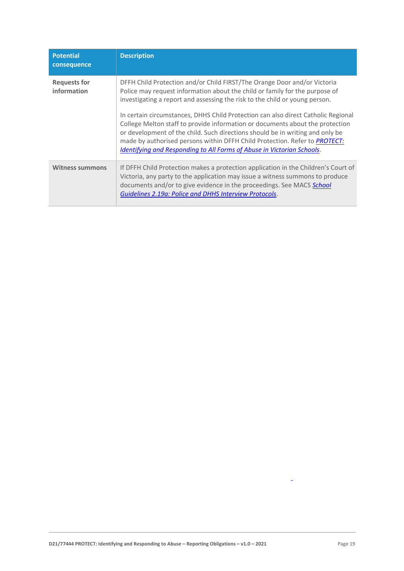| <b>Potential</b><br>consequence    | <b>Description</b>                                                                                                                                                                                                                                                                                                                                                                                                                                                                                                                                                          |
|------------------------------------|-----------------------------------------------------------------------------------------------------------------------------------------------------------------------------------------------------------------------------------------------------------------------------------------------------------------------------------------------------------------------------------------------------------------------------------------------------------------------------------------------------------------------------------------------------------------------------|
| <b>Requests for</b><br>information | DFFH Child Protection and/or Child FIRST/The Orange Door and/or Victoria<br>Police may request information about the child or family for the purpose of<br>investigating a report and assessing the risk to the child or young person.<br>In certain circumstances, DHHS Child Protection can also direct Catholic Regional<br>College Melton staff to provide information or documents about the protection<br>or development of the child. Such directions should be in writing and only be<br>made by authorised persons within DFFH Child Protection. Refer to PROTECT: |
|                                    | Identifying and Responding to All Forms of Abuse in Victorian Schools.                                                                                                                                                                                                                                                                                                                                                                                                                                                                                                      |
| <b>Witness summons</b>             | If DFFH Child Protection makes a protection application in the Children's Court of<br>Victoria, any party to the application may issue a witness summons to produce<br>documents and/or to give evidence in the proceedings. See MACS School<br>Guidelines 2.19a: Police and DHHS Interview Protocols.                                                                                                                                                                                                                                                                      |

 $\Box$